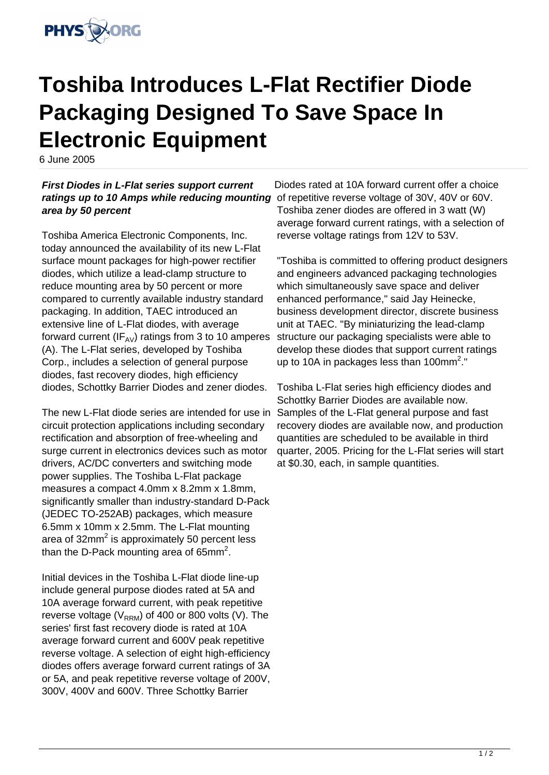

## **Toshiba Introduces L-Flat Rectifier Diode Packaging Designed To Save Space In Electronic Equipment**

6 June 2005

## **First Diodes in L-Flat series support current** ratings up to 10 Amps while reducing mounting of repetitive reverse voltage of 30V, 40V or 60V. **area by 50 percent**

Toshiba America Electronic Components, Inc. today announced the availability of its new L-Flat surface mount packages for high-power rectifier diodes, which utilize a lead-clamp structure to reduce mounting area by 50 percent or more compared to currently available industry standard packaging. In addition, TAEC introduced an extensive line of L-Flat diodes, with average forward current ( $IF_{AV}$ ) ratings from 3 to 10 amperes (A). The L-Flat series, developed by Toshiba Corp., includes a selection of general purpose diodes, fast recovery diodes, high efficiency diodes, Schottky Barrier Diodes and zener diodes.

The new L-Flat diode series are intended for use in circuit protection applications including secondary rectification and absorption of free-wheeling and surge current in electronics devices such as motor drivers, AC/DC converters and switching mode power supplies. The Toshiba L-Flat package measures a compact 4.0mm x 8.2mm x 1.8mm, significantly smaller than industry-standard D-Pack (JEDEC TO-252AB) packages, which measure 6.5mm x 10mm x 2.5mm. The L-Flat mounting area of 32mm<sup>2</sup> is approximately 50 percent less than the D-Pack mounting area of 65mm<sup>2</sup>.

Initial devices in the Toshiba L-Flat diode line-up include general purpose diodes rated at 5A and 10A average forward current, with peak repetitive reverse voltage ( $V_{RRM}$ ) of 400 or 800 volts (V). The series' first fast recovery diode is rated at 10A average forward current and 600V peak repetitive reverse voltage. A selection of eight high-efficiency diodes offers average forward current ratings of 3A or 5A, and peak repetitive reverse voltage of 200V, 300V, 400V and 600V. Three Schottky Barrier

Diodes rated at 10A forward current offer a choice Toshiba zener diodes are offered in 3 watt (W) average forward current ratings, with a selection of reverse voltage ratings from 12V to 53V.

"Toshiba is committed to offering product designers and engineers advanced packaging technologies which simultaneously save space and deliver enhanced performance," said Jay Heinecke, business development director, discrete business unit at TAEC. "By miniaturizing the lead-clamp structure our packaging specialists were able to develop these diodes that support current ratings up to 10A in packages less than 100mm<sup>2</sup>."

Toshiba L-Flat series high efficiency diodes and Schottky Barrier Diodes are available now. Samples of the L-Flat general purpose and fast recovery diodes are available now, and production quantities are scheduled to be available in third quarter, 2005. Pricing for the L-Flat series will start at \$0.30, each, in sample quantities.